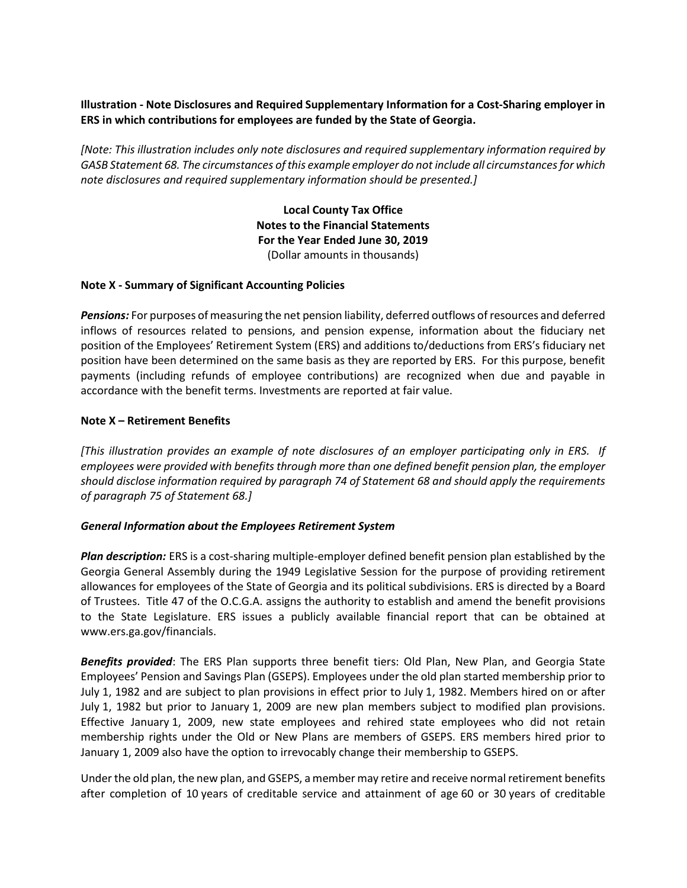# Illustration - Note Disclosures and Required Supplementary Information for a Cost-Sharing employer in ERS in which contributions for employees are funded by the State of Georgia.

[Note: This illustration includes only note disclosures and required supplementary information required by GASB Statement 68. The circumstances of this example employer do not include all circumstances for which note disclosures and required supplementary information should be presented.]

> Local County Tax Office Notes to the Financial Statements For the Year Ended June 30, 2019 (Dollar amounts in thousands)

## Note X - Summary of Significant Accounting Policies

**Pensions:** For purposes of measuring the net pension liability, deferred outflows of resources and deferred inflows of resources related to pensions, and pension expense, information about the fiduciary net position of the Employees' Retirement System (ERS) and additions to/deductions from ERS's fiduciary net position have been determined on the same basis as they are reported by ERS. For this purpose, benefit payments (including refunds of employee contributions) are recognized when due and payable in accordance with the benefit terms. Investments are reported at fair value.

## Note X – Retirement Benefits

[This illustration provides an example of note disclosures of an employer participating only in ERS. If employees were provided with benefits through more than one defined benefit pension plan, the employer should disclose information required by paragraph 74 of Statement 68 and should apply the requirements of paragraph 75 of Statement 68.]

#### General Information about the Employees Retirement System

Plan description: ERS is a cost-sharing multiple-employer defined benefit pension plan established by the Georgia General Assembly during the 1949 Legislative Session for the purpose of providing retirement allowances for employees of the State of Georgia and its political subdivisions. ERS is directed by a Board of Trustees. Title 47 of the O.C.G.A. assigns the authority to establish and amend the benefit provisions to the State Legislature. ERS issues a publicly available financial report that can be obtained at www.ers.ga.gov/financials.

**Benefits provided:** The ERS Plan supports three benefit tiers: Old Plan, New Plan, and Georgia State Employees' Pension and Savings Plan (GSEPS). Employees under the old plan started membership prior to July 1, 1982 and are subject to plan provisions in effect prior to July 1, 1982. Members hired on or after July 1, 1982 but prior to January 1, 2009 are new plan members subject to modified plan provisions. Effective January 1, 2009, new state employees and rehired state employees who did not retain membership rights under the Old or New Plans are members of GSEPS. ERS members hired prior to January 1, 2009 also have the option to irrevocably change their membership to GSEPS.

Under the old plan, the new plan, and GSEPS, a member may retire and receive normal retirement benefits after completion of 10 years of creditable service and attainment of age 60 or 30 years of creditable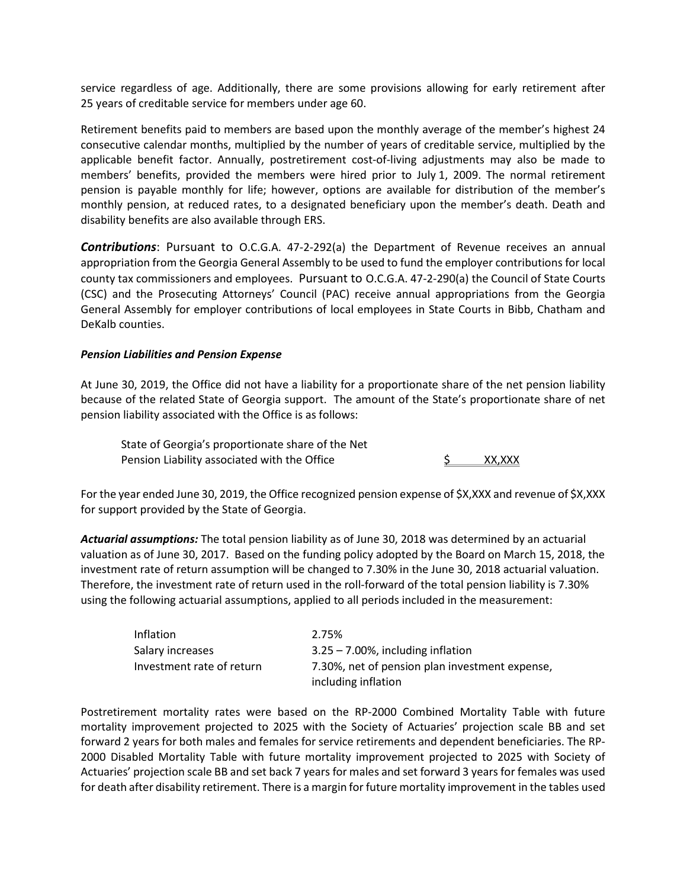service regardless of age. Additionally, there are some provisions allowing for early retirement after 25 years of creditable service for members under age 60.

Retirement benefits paid to members are based upon the monthly average of the member's highest 24 consecutive calendar months, multiplied by the number of years of creditable service, multiplied by the applicable benefit factor. Annually, postretirement cost-of-living adjustments may also be made to members' benefits, provided the members were hired prior to July 1, 2009. The normal retirement pension is payable monthly for life; however, options are available for distribution of the member's monthly pension, at reduced rates, to a designated beneficiary upon the member's death. Death and disability benefits are also available through ERS.

**Contributions**: Pursuant to O.C.G.A. 47-2-292(a) the Department of Revenue receives an annual appropriation from the Georgia General Assembly to be used to fund the employer contributions for local county tax commissioners and employees. Pursuant to O.C.G.A. 47-2-290(a) the Council of State Courts (CSC) and the Prosecuting Attorneys' Council (PAC) receive annual appropriations from the Georgia General Assembly for employer contributions of local employees in State Courts in Bibb, Chatham and DeKalb counties.

## Pension Liabilities and Pension Expense

At June 30, 2019, the Office did not have a liability for a proportionate share of the net pension liability because of the related State of Georgia support. The amount of the State's proportionate share of net pension liability associated with the Office is as follows:

 State of Georgia's proportionate share of the Net Pension Liability associated with the Office  $\frac{1}{2}$  XX,XXX

For the year ended June 30, 2019, the Office recognized pension expense of \$X,XXX and revenue of \$X,XXX for support provided by the State of Georgia.

Actuarial assumptions: The total pension liability as of June 30, 2018 was determined by an actuarial valuation as of June 30, 2017. Based on the funding policy adopted by the Board on March 15, 2018, the investment rate of return assumption will be changed to 7.30% in the June 30, 2018 actuarial valuation. Therefore, the investment rate of return used in the roll-forward of the total pension liability is 7.30% using the following actuarial assumptions, applied to all periods included in the measurement:

| <b>Inflation</b>          | 2.75%                                                                 |
|---------------------------|-----------------------------------------------------------------------|
| Salary increases          | $3.25 - 7.00\%$ , including inflation                                 |
| Investment rate of return | 7.30%, net of pension plan investment expense,<br>including inflation |

Postretirement mortality rates were based on the RP-2000 Combined Mortality Table with future mortality improvement projected to 2025 with the Society of Actuaries' projection scale BB and set forward 2 years for both males and females for service retirements and dependent beneficiaries. The RP-2000 Disabled Mortality Table with future mortality improvement projected to 2025 with Society of Actuaries' projection scale BB and set back 7 years for males and set forward 3 years for females was used for death after disability retirement. There is a margin for future mortality improvement in the tables used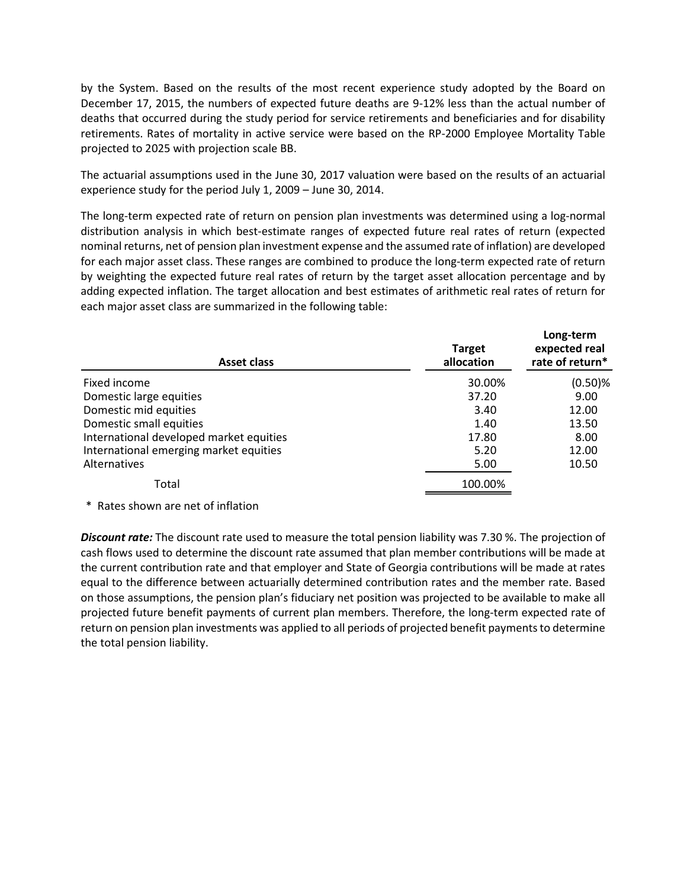by the System. Based on the results of the most recent experience study adopted by the Board on December 17, 2015, the numbers of expected future deaths are 9-12% less than the actual number of deaths that occurred during the study period for service retirements and beneficiaries and for disability retirements. Rates of mortality in active service were based on the RP-2000 Employee Mortality Table projected to 2025 with projection scale BB.

| December 17, 2015, the numbers of expected future deaths are 9-12% less than the actual number of<br>deaths that occurred during the study period for service retirements and beneficiaries and for disability<br>retirements. Rates of mortality in active service were based on the RP-2000 Employee Mortality Table<br>projected to 2025 with projection scale BB.                                                                                                                                                                                                                                                                                                                                                       |                             |                                               |  |  |  |
|-----------------------------------------------------------------------------------------------------------------------------------------------------------------------------------------------------------------------------------------------------------------------------------------------------------------------------------------------------------------------------------------------------------------------------------------------------------------------------------------------------------------------------------------------------------------------------------------------------------------------------------------------------------------------------------------------------------------------------|-----------------------------|-----------------------------------------------|--|--|--|
| The actuarial assumptions used in the June 30, 2017 valuation were based on the results of an actuarial<br>experience study for the period July 1, 2009 - June 30, 2014.                                                                                                                                                                                                                                                                                                                                                                                                                                                                                                                                                    |                             |                                               |  |  |  |
| The long-term expected rate of return on pension plan investments was determined using a log-normal<br>distribution analysis in which best-estimate ranges of expected future real rates of return (expected<br>nominal returns, net of pension plan investment expense and the assumed rate of inflation) are developed<br>for each major asset class. These ranges are combined to produce the long-term expected rate of return<br>by weighting the expected future real rates of return by the target asset allocation percentage and by<br>adding expected inflation. The target allocation and best estimates of arithmetic real rates of return for<br>each major asset class are summarized in the following table: |                             |                                               |  |  |  |
| <b>Asset class</b>                                                                                                                                                                                                                                                                                                                                                                                                                                                                                                                                                                                                                                                                                                          | <b>Target</b><br>allocation | Long-term<br>expected real<br>rate of return* |  |  |  |
| Fixed income                                                                                                                                                                                                                                                                                                                                                                                                                                                                                                                                                                                                                                                                                                                | 30.00%                      | $(0.50)$ %                                    |  |  |  |
| Domestic large equities                                                                                                                                                                                                                                                                                                                                                                                                                                                                                                                                                                                                                                                                                                     | 37.20                       | 9.00                                          |  |  |  |
| Domestic mid equities                                                                                                                                                                                                                                                                                                                                                                                                                                                                                                                                                                                                                                                                                                       | 3.40                        | 12.00                                         |  |  |  |
| Domestic small equities                                                                                                                                                                                                                                                                                                                                                                                                                                                                                                                                                                                                                                                                                                     | 1.40                        | 13.50                                         |  |  |  |
| International developed market equities                                                                                                                                                                                                                                                                                                                                                                                                                                                                                                                                                                                                                                                                                     | 17.80                       | 8.00                                          |  |  |  |
| International emerging market equities                                                                                                                                                                                                                                                                                                                                                                                                                                                                                                                                                                                                                                                                                      | 5.20                        | 12.00                                         |  |  |  |
| Alternatives                                                                                                                                                                                                                                                                                                                                                                                                                                                                                                                                                                                                                                                                                                                | 5.00                        | 10.50                                         |  |  |  |
| Total                                                                                                                                                                                                                                                                                                                                                                                                                                                                                                                                                                                                                                                                                                                       | 100.00%                     |                                               |  |  |  |
| * Rates shown are net of inflation                                                                                                                                                                                                                                                                                                                                                                                                                                                                                                                                                                                                                                                                                          |                             |                                               |  |  |  |
| Discount rate: The discount rate used to measure the total pension liability was 7.30 %. The projection of<br>cash flows used to determine the discount rate assumed that plan member contributions will be made at<br>the current contribution rate and that employer and State of Georgia contributions will be made at rates<br>equal to the difference between actuarially determined contribution rates and the member rate. Based                                                                                                                                                                                                                                                                                     |                             |                                               |  |  |  |

**Discount rate:** The discount rate used to measure the total pension liability was 7.30 %. The projection of cash flows used to determine the discount rate assumed that plan member contributions will be made at the current contribution rate and that employer and State of Georgia contributions will be made at rates equal to the difference between actuarially determined contribution rates and the member rate. Based on those assumptions, the pension plan's fiduciary net position was projected to be available to make all projected future benefit payments of current plan members. Therefore, the long-term expected rate of return on pension plan investments was applied to all periods of projected benefit payments to determine the total pension liability.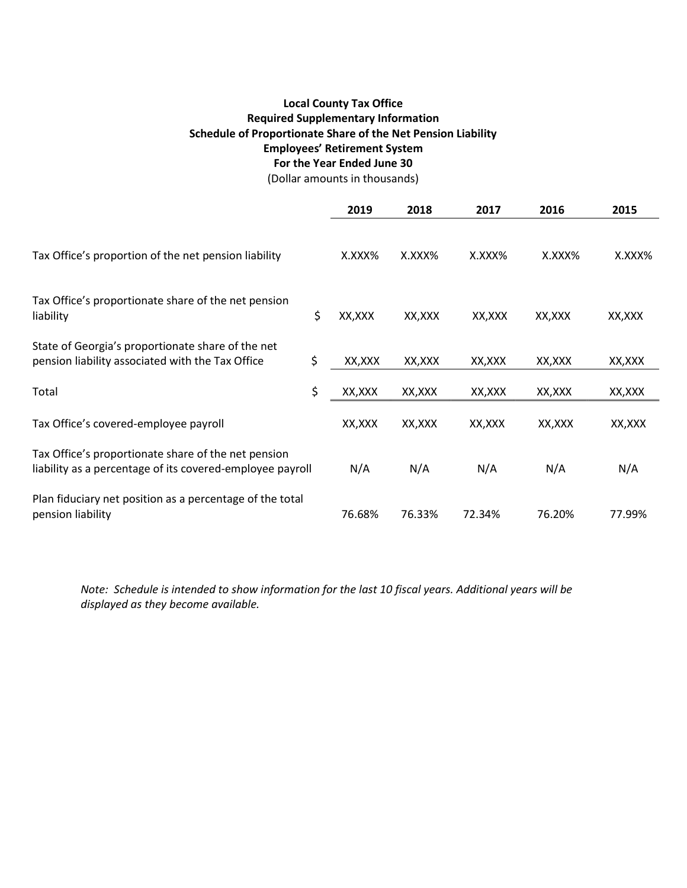# Local County Tax Office Required Supplementary Information Schedule of Proportionate Share of the Net Pension Liability Employees' Retirement System For the Year Ended June 30

(Dollar amounts in thousands)

|                                                                                                                  |    | 2019    | 2018    | 2017    | 2016    | 2015    |
|------------------------------------------------------------------------------------------------------------------|----|---------|---------|---------|---------|---------|
| Tax Office's proportion of the net pension liability                                                             |    | X.XXX%  | X.XXX%  | X.XXX%  | X.XXX%  | X.XXX%  |
| Tax Office's proportionate share of the net pension<br>liability                                                 | \$ | XX, XXX | XX, XXX | XX, XXX | XX, XXX | XX, XXX |
| State of Georgia's proportionate share of the net<br>pension liability associated with the Tax Office            | \$ | XX, XXX | XX, XXX | XX, XXX | XX, XXX | XX, XXX |
| Total                                                                                                            | \$ | XX,XXX  | XX, XXX | XX,XXX  | XX, XXX | XX, XXX |
| Tax Office's covered-employee payroll                                                                            |    | XX, XXX | XX, XXX | XX,XXX  | XX, XXX | XX, XXX |
| Tax Office's proportionate share of the net pension<br>liability as a percentage of its covered-employee payroll |    | N/A     | N/A     | N/A     | N/A     | N/A     |
| Plan fiduciary net position as a percentage of the total<br>pension liability                                    |    | 76.68%  | 76.33%  | 72.34%  | 76.20%  | 77.99%  |

Note: Schedule is intended to show information for the last 10 fiscal years. Additional years will be displayed as they become available.